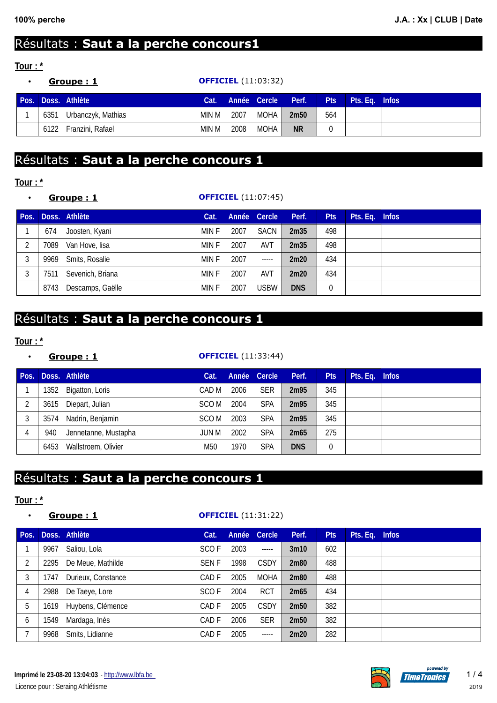# Résultats : **Saut a la perche concours1**

### **Tour : \***

|      | <u>Groupe: 1</u>   |       | <b>OFFICIEL</b> (11:03:32) |                    |                  |            |                |  |  |  |
|------|--------------------|-------|----------------------------|--------------------|------------------|------------|----------------|--|--|--|
|      | Pos. Doss. Athlète | Cat.  |                            | Année Cercle Perf. |                  | <b>Pts</b> | Pts. Eq. Infos |  |  |  |
| 6351 | Urbanczyk, Mathias | min M | 2007                       | MOHA               | 2m <sub>50</sub> | 564        |                |  |  |  |
| 6122 | Franzini, Rafael   | min M | 2008                       | MOHA               | <b>NR</b>        |            |                |  |  |  |

# Résultats : **Saut a la perche concours 1**

#### **Tour : \***

#### • **Groupe : 1 OFFICIEL** (11:07:45)

| Pos. |      | Doss. Athlète    | Cat.  |      | Année Cercle | Perf.      | <b>Pts</b> | Pts. Eq. Infos |  |
|------|------|------------------|-------|------|--------------|------------|------------|----------------|--|
|      | 674  | Joosten, Kyani   | MIN F | 2007 | <b>SACN</b>  | 2m35       | 498        |                |  |
| 2    | 7089 | Van Hove, lisa   | MIN F | 2007 | <b>AVT</b>   | 2m35       | 498        |                |  |
| 3    | 9969 | Smits, Rosalie   | MIN F | 2007 | $-----$      | 2m20       | 434        |                |  |
| 3    | 7511 | Sevenich, Briana | MIN F | 2007 | AVT          | 2m20       | 434        |                |  |
|      | 8743 | Descamps, Gaëlle | MIN F | 2007 | <b>USBW</b>  | <b>DNS</b> | 0          |                |  |

# Résultats : **Saut a la perche concours 1**

#### **Tour : \***

| ٠    |      | Groupe: 1            | <b>OFFICIEL</b> (11:33:44) |      |              |            |            |                |  |  |
|------|------|----------------------|----------------------------|------|--------------|------------|------------|----------------|--|--|
| Pos. |      | Doss. Athlète        | Cat.                       |      | Année Cercle | Perf.      | <b>Pts</b> | Pts. Eq. Infos |  |  |
|      | 1352 | Bigatton, Loris      | CAD M                      | 2006 | <b>SER</b>   | 2m95       | 345        |                |  |  |
| 2    | 3615 | Diepart, Julian      | SCO M                      | 2004 | <b>SPA</b>   | 2m95       | 345        |                |  |  |
| 3    | 3574 | Nadrin, Benjamin     | SCO M                      | 2003 | <b>SPA</b>   | 2m95       | 345        |                |  |  |
| 4    | 940  | Jennetanne, Mustapha | JUN M                      | 2002 | <b>SPA</b>   | 2m65       | 275        |                |  |  |
|      | 6453 | Wallstroem, Olivier  | M50                        | 1970 | <b>SPA</b>   | <b>DNS</b> |            |                |  |  |

## Résultats : **Saut a la perche concours 1**

#### **Tour : \***

#### • **Groupe : 1 OFFICIEL** (11:31:22)

| Pos. |      | Doss. Athlète      | Cat.        | Année | <b>Cercle</b> | Perf.            | <b>Pts</b> | Pts. Eq. Infos |  |
|------|------|--------------------|-------------|-------|---------------|------------------|------------|----------------|--|
|      | 9967 | Saliou, Lola       | SCO F       | 2003  | -----         | 3 <sub>m10</sub> | 602        |                |  |
| 2    | 2295 | De Meue, Mathilde  | <b>SENF</b> | 1998  | <b>CSDY</b>   | 2m80             | 488        |                |  |
| 3    | 1747 | Durieux, Constance | CAD F       | 2005  | <b>MOHA</b>   | 2m80             | 488        |                |  |
| 4    | 2988 | De Taeye, Lore     | SCO F       | 2004  | <b>RCT</b>    | 2m65             | 434        |                |  |
| 5    | 1619 | Huybens, Clémence  | CAD F       | 2005  | <b>CSDY</b>   | 2m <sub>50</sub> | 382        |                |  |
| 6    | 1549 | Mardaga, Inès      | CAD F       | 2006  | <b>SER</b>    | 2m <sub>50</sub> | 382        |                |  |
|      | 9968 | Smits, Lidianne    | CAD F       | 2005  | $- - - - -$   | 2m20             | 282        |                |  |



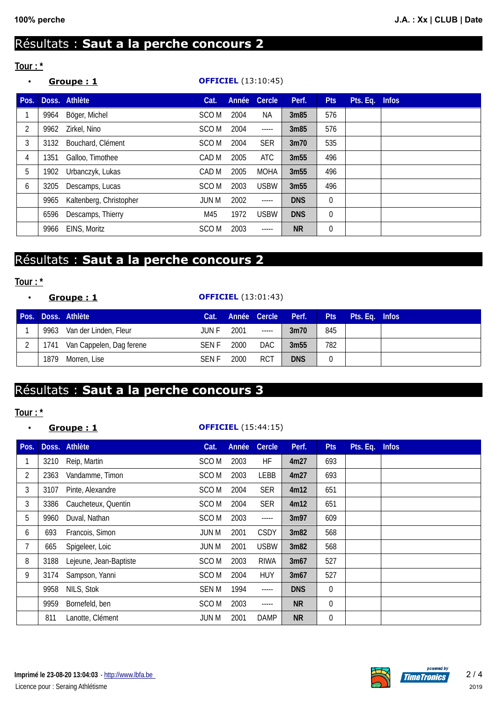# Résultats : **Saut a la perche concours 2**

### **Tour : \***

| $\bullet$ | Groupe: 1 |                         |                  |       | <b>OFFICIEL</b> (13:10:45) |            |            |          |              |
|-----------|-----------|-------------------------|------------------|-------|----------------------------|------------|------------|----------|--------------|
| Pos.      |           | Doss. Athlète           | Cat.             | Année | <b>Cercle</b>              | Perf.      | <b>Pts</b> | Pts. Eq. | <b>Infos</b> |
| 1         | 9964      | Böger, Michel           | SCO M            | 2004  | <b>NA</b>                  | 3m85       | 576        |          |              |
| 2         | 9962      | Zirkel, Nino            | SCO M            | 2004  | $- - - - -$                | 3m85       | 576        |          |              |
| 3         | 3132      | Bouchard, Clément       | SCO <sub>M</sub> | 2004  | <b>SER</b>                 | 3m70       | 535        |          |              |
| 4         | 1351      | Galloo, Timothee        | CAD M            | 2005  | <b>ATC</b>                 | 3m55       | 496        |          |              |
| 5         | 1902      | Urbanczyk, Lukas        | CAD M            | 2005  | <b>MOHA</b>                | 3m55       | 496        |          |              |
| 6         | 3205      | Descamps, Lucas         | SCO <sub>M</sub> | 2003  | <b>USBW</b>                | 3m55       | 496        |          |              |
|           | 9965      | Kaltenberg, Christopher | JUN M            | 2002  | -----                      | <b>DNS</b> | 0          |          |              |
|           | 6596      | Descamps, Thierry       | M45              | 1972  | <b>USBW</b>                | <b>DNS</b> | 0          |          |              |
|           | 9966      | EINS, Moritz            | SCO <sub>M</sub> | 2003  | $- - - - -$                | <b>NR</b>  | 0          |          |              |

# Résultats : **Saut a la perche concours 2**

#### **Tour : \***

#### • **Groupe : 1 OFFICIEL** (13:01:43)

|   |      | Pos. Doss. Athlète            | Cat.         |      | Année Cercle Perf. |                  | <b>Pts</b> | Pts. Eq. Infos |  |
|---|------|-------------------------------|--------------|------|--------------------|------------------|------------|----------------|--|
|   | 9963 | Van der Linden, Fleur         | JUN F        | 2001 | $\cdots$           | 3m70             | 845        |                |  |
| ົ |      | 1741 Van Cappelen, Dag ferene | <b>SEN F</b> | 2000 | DAC.               | 3m <sub>55</sub> | 782        |                |  |
|   | 1879 | Morren, Lise                  | <b>SENF</b>  | 2000 | <b>RCT</b>         | <b>DNS</b>       |            |                |  |

# Résultats : **Saut a la perche concours 3**

#### **Tour : \***

### • **Groupe : 1 OFFICIEL** (15:44:15)

| Pos. |      | Doss. Athlète          | Cat.             | Année | <b>Cercle</b> | Perf.      | <b>Pts</b> | Pts. Eq. | <b>Infos</b> |
|------|------|------------------------|------------------|-------|---------------|------------|------------|----------|--------------|
| 1    | 3210 | Reip, Martin           | SCO <sub>M</sub> | 2003  | HF            | 4m27       | 693        |          |              |
| 2    | 2363 | Vandamme, Timon        | SCO M            | 2003  | <b>LEBB</b>   | 4m27       | 693        |          |              |
| 3    | 3107 | Pinte, Alexandre       | SCO M            | 2004  | <b>SER</b>    | 4m12       | 651        |          |              |
| 3    | 3386 | Caucheteux, Quentin    | SCO M            | 2004  | <b>SER</b>    | 4m12       | 651        |          |              |
| 5    | 9960 | Duval, Nathan          | SCO M            | 2003  | -----         | 3m97       | 609        |          |              |
| 6    | 693  | Francois, Simon        | JUN M            | 2001  | <b>CSDY</b>   | 3m82       | 568        |          |              |
|      | 665  | Spigeleer, Loic        | JUN M            | 2001  | <b>USBW</b>   | 3m82       | 568        |          |              |
| 8    | 3188 | Lejeune, Jean-Baptiste | SCO <sub>M</sub> | 2003  | <b>RIWA</b>   | 3m67       | 527        |          |              |
| 9    | 3174 | Sampson, Yanni         | SCO <sub>M</sub> | 2004  | <b>HUY</b>    | 3m67       | 527        |          |              |
|      | 9958 | NILS, Stok             | <b>SEN M</b>     | 1994  | -----         | <b>DNS</b> | 0          |          |              |
|      | 9959 | Bornefeld, ben         | SCO <sub>M</sub> | 2003  | -----         | <b>NR</b>  | 0          |          |              |
|      | 811  | Lanotte, Clément       | JUN M            | 2001  | <b>DAMP</b>   | <b>NR</b>  | 0          |          |              |

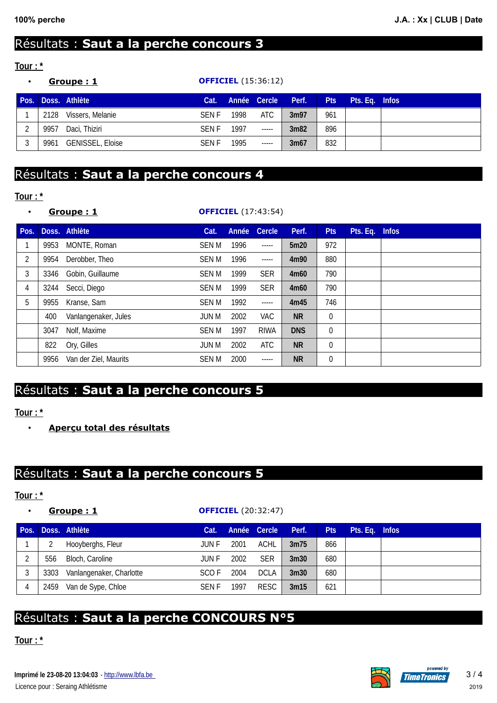# Résultats : **Saut a la perche concours 3**

### **Tour : \***

|      | Groupe: 1                 |             | <b>OFFICIEL</b> (15:36:12) |              |       |            |                |  |
|------|---------------------------|-------------|----------------------------|--------------|-------|------------|----------------|--|
|      | <b>Pos. Doss. Athlète</b> | Cat.        |                            | Année Cercle | Perf. | <b>Pts</b> | Pts. Eq. Infos |  |
| 2128 | Vissers, Melanie          | SEN F       | 1998                       | <b>ATC</b>   | 3m97  | 961        |                |  |
| 9957 | Daci, Thiziri             | <b>SENF</b> | 1997                       | $-----$      | 3m82  | 896        |                |  |
| 9961 | <b>GENISSEL, Eloise</b>   | <b>SENF</b> | 1995                       | $-----$      | 3m67  | 832        |                |  |

## Résultats : **Saut a la perche concours 4**

#### **Tour : \***

| $\bullet$ |      | Groupe: 1             |              | <b>OFFICIEL</b> (17:43:54) |               |            |              |          |              |  |  |  |
|-----------|------|-----------------------|--------------|----------------------------|---------------|------------|--------------|----------|--------------|--|--|--|
| Pos.      |      | Doss. Athlète         | Cat.         | Année                      | <b>Cercle</b> | Perf.      | <b>Pts</b>   | Pts. Eq. | <b>Infos</b> |  |  |  |
| 1         | 9953 | MONTE, Roman          | <b>SEN M</b> | 1996                       | -----         | 5m20       | 972          |          |              |  |  |  |
| 2         | 9954 | Derobber, Theo        | SEN M        | 1996                       | -----         | 4m90       | 880          |          |              |  |  |  |
| 3         | 3346 | Gobin, Guillaume      | <b>SEN M</b> | 1999                       | <b>SER</b>    | 4m60       | 790          |          |              |  |  |  |
| 4         | 3244 | Secci, Diego          | <b>SEN M</b> | 1999                       | <b>SER</b>    | 4m60       | 790          |          |              |  |  |  |
| 5         | 9955 | Kranse, Sam           | SEN M        | 1992                       | -----         | 4m45       | 746          |          |              |  |  |  |
|           | 400  | Vanlangenaker, Jules  | JUN M        | 2002                       | <b>VAC</b>    | <b>NR</b>  | $\mathbf{0}$ |          |              |  |  |  |
|           | 3047 | Nolf, Maxime          | <b>SEN M</b> | 1997                       | <b>RIWA</b>   | <b>DNS</b> | 0            |          |              |  |  |  |
|           | 822  | Ory, Gilles           | JUN M        | 2002                       | <b>ATC</b>    | <b>NR</b>  | 0            |          |              |  |  |  |
|           | 9956 | Van der Ziel, Maurits | <b>SEN M</b> | 2000                       | -----         | <b>NR</b>  | 0            |          |              |  |  |  |

## Résultats : **Saut a la perche concours 5**

#### **Tour : \***

• **Aperçu total des résultats**

## Résultats : **Saut a la perche concours 5**

#### **Tour : \***

#### • **Groupe : 1 OFFICIEL** (20:32:47)

|   |     | Pos. Doss. Athlète            | Cat.        |      | Année Cercle | Perf.            | <b>Pts</b> | Pts. Eq. Infos |  |
|---|-----|-------------------------------|-------------|------|--------------|------------------|------------|----------------|--|
|   |     | Hooyberghs, Fleur             | JUN F       | 2001 | ACHL.        | 3m75             | 866        |                |  |
| ◠ | 556 | Bloch, Caroline               | JUN F       | 2002 | <b>SER</b>   | 3 <sub>m30</sub> | 680        |                |  |
| 3 |     | 3303 Vanlangenaker, Charlotte | SCO F       | 2004 | <b>DCLA</b>  | 3 <sub>m30</sub> | 680        |                |  |
|   |     | 2459 Van de Sype, Chloe       | <b>SENF</b> | 1997 | RESC         | 3m15             | 621        |                |  |

## Résultats : **Saut a la perche CONCOURS N°5**

 **Tour : \***